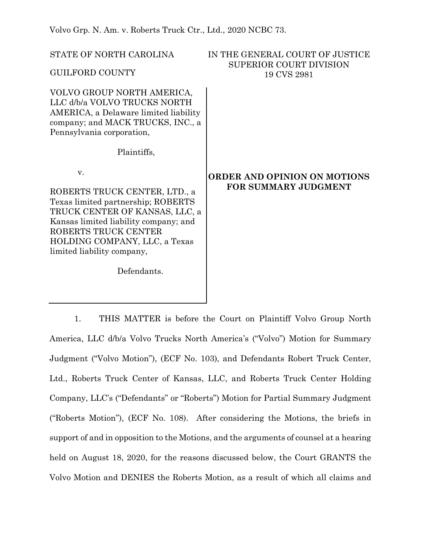Volvo Grp. N. Am. v. Roberts Truck Ctr., Ltd., 2020 NCBC 73.

| STATE OF NORTH CAROLINA<br><b>GUILFORD COUNTY</b>                                                                                                                                                                                           | IN THE GENERAL COURT OF JUSTICE<br><b>SUPERIOR COURT DIVISION</b><br>19 CVS 2981 |
|---------------------------------------------------------------------------------------------------------------------------------------------------------------------------------------------------------------------------------------------|----------------------------------------------------------------------------------|
| VOLVO GROUP NORTH AMERICA,<br>LLC d/b/a VOLVO TRUCKS NORTH<br>AMERICA, a Delaware limited liability<br>company; and MACK TRUCKS, INC., a<br>Pennsylvania corporation,                                                                       |                                                                                  |
| Plaintiffs,                                                                                                                                                                                                                                 |                                                                                  |
| V.<br>ROBERTS TRUCK CENTER, LTD., a<br>Texas limited partnership; ROBERTS<br>TRUCK CENTER OF KANSAS, LLC, a<br>Kansas limited liability company; and<br>ROBERTS TRUCK CENTER<br>HOLDING COMPANY, LLC, a Texas<br>limited liability company, | ORDER AND OPINION ON MOTIONS<br><b>FOR SUMMARY JUDGMENT</b>                      |
| Defendants.                                                                                                                                                                                                                                 |                                                                                  |

1. THIS MATTER is before the Court on Plaintiff Volvo Group North America, LLC d/b/a Volvo Trucks North America's ("Volvo") Motion for Summary Judgment ("Volvo Motion"), (ECF No. 103), and Defendants Robert Truck Center, Ltd., Roberts Truck Center of Kansas, LLC, and Roberts Truck Center Holding Company, LLC's ("Defendants" or "Roberts") Motion for Partial Summary Judgment ("Roberts Motion"), (ECF No. 108). After considering the Motions, the briefs in support of and in opposition to the Motions, and the arguments of counsel at a hearing held on August 18, 2020, for the reasons discussed below, the Court GRANTS the Volvo Motion and DENIES the Roberts Motion, as a result of which all claims and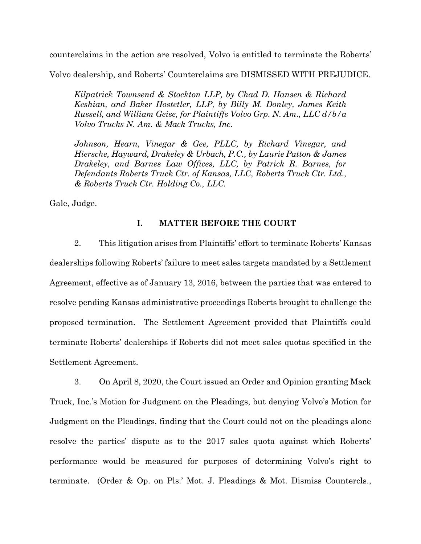counterclaims in the action are resolved, Volvo is entitled to terminate the Roberts'

Volvo dealership, and Roberts' Counterclaims are DISMISSED WITH PREJUDICE.

*Kilpatrick Townsend & Stockton LLP, by Chad D. Hansen & Richard Keshian, and Baker Hostetler, LLP, by Billy M. Donley, James Keith Russell, and William Geise, for Plaintiffs Volvo Grp. N. Am., LLC d/b/a Volvo Trucks N. Am. & Mack Trucks, Inc.*

*Johnson, Hearn, Vinegar & Gee, PLLC, by Richard Vinegar, and Hiersche, Hayward, Drakeley & Urbach, P.C., by Laurie Patton & James Drakeley, and Barnes Law Offices, LLC, by Patrick R. Barnes, for Defendants Roberts Truck Ctr. of Kansas, LLC, Roberts Truck Ctr. Ltd., & Roberts Truck Ctr. Holding Co., LLC.*

Gale, Judge.

# **I. MATTER BEFORE THE COURT**

2. This litigation arises from Plaintiffs' effort to terminate Roberts' Kansas dealerships following Roberts' failure to meet sales targets mandated by a Settlement Agreement, effective as of January 13, 2016, between the parties that was entered to resolve pending Kansas administrative proceedings Roberts brought to challenge the proposed termination. The Settlement Agreement provided that Plaintiffs could terminate Roberts' dealerships if Roberts did not meet sales quotas specified in the Settlement Agreement.

3. On April 8, 2020, the Court issued an Order and Opinion granting Mack Truck, Inc.'s Motion for Judgment on the Pleadings, but denying Volvo's Motion for Judgment on the Pleadings, finding that the Court could not on the pleadings alone resolve the parties' dispute as to the 2017 sales quota against which Roberts' performance would be measured for purposes of determining Volvo's right to terminate. (Order & Op. on Pls.' Mot. J. Pleadings & Mot. Dismiss Countercls.,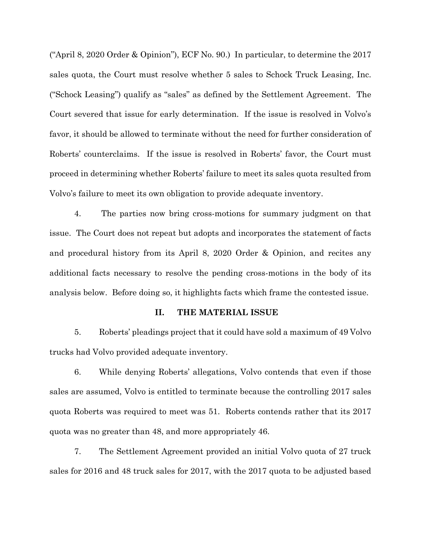("April 8, 2020 Order & Opinion"), ECF No. 90.) In particular, to determine the 2017 sales quota, the Court must resolve whether 5 sales to Schock Truck Leasing, Inc. ("Schock Leasing") qualify as "sales" as defined by the Settlement Agreement. The Court severed that issue for early determination. If the issue is resolved in Volvo's favor, it should be allowed to terminate without the need for further consideration of Roberts' counterclaims. If the issue is resolved in Roberts' favor, the Court must proceed in determining whether Roberts' failure to meet its sales quota resulted from Volvo's failure to meet its own obligation to provide adequate inventory.

4. The parties now bring cross-motions for summary judgment on that issue. The Court does not repeat but adopts and incorporates the statement of facts and procedural history from its April 8, 2020 Order & Opinion, and recites any additional facts necessary to resolve the pending cross-motions in the body of its analysis below. Before doing so, it highlights facts which frame the contested issue.

#### **II. THE MATERIAL ISSUE**

5. Roberts' pleadings project that it could have sold a maximum of 49 Volvo trucks had Volvo provided adequate inventory.

6. While denying Roberts' allegations, Volvo contends that even if those sales are assumed, Volvo is entitled to terminate because the controlling 2017 sales quota Roberts was required to meet was 51. Roberts contends rather that its 2017 quota was no greater than 48, and more appropriately 46.

7. The Settlement Agreement provided an initial Volvo quota of 27 truck sales for 2016 and 48 truck sales for 2017, with the 2017 quota to be adjusted based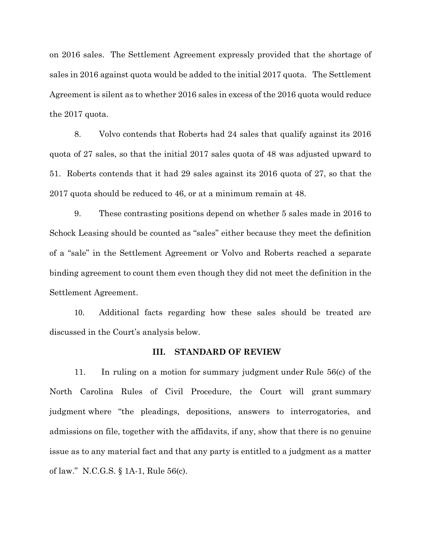on 2016 sales. The Settlement Agreement expressly provided that the shortage of sales in 2016 against quota would be added to the initial 2017 quota. The Settlement Agreement is silent as to whether 2016 sales in excess of the 2016 quota would reduce the 2017 quota.

8. Volvo contends that Roberts had 24 sales that qualify against its 2016 quota of 27 sales, so that the initial 2017 sales quota of 48 was adjusted upward to 51. Roberts contends that it had 29 sales against its 2016 quota of 27, so that the 2017 quota should be reduced to 46, or at a minimum remain at 48.

9. These contrasting positions depend on whether 5 sales made in 2016 to Schock Leasing should be counted as "sales" either because they meet the definition of a "sale" in the Settlement Agreement or Volvo and Roberts reached a separate binding agreement to count them even though they did not meet the definition in the Settlement Agreement.

10. Additional facts regarding how these sales should be treated are discussed in the Court's analysis below.

## **III. STANDARD OF REVIEW**

11. In ruling on a motion for summary judgment under Rule 56(c) of the North Carolina Rules of Civil Procedure, the Court will grant summary judgment where "the pleadings, depositions, answers to interrogatories, and admissions on file, together with the affidavits, if any, show that there is no genuine issue as to any material fact and that any party is entitled to a judgment as a matter of law." N.C.G.S. § 1A-1, Rule 56(c).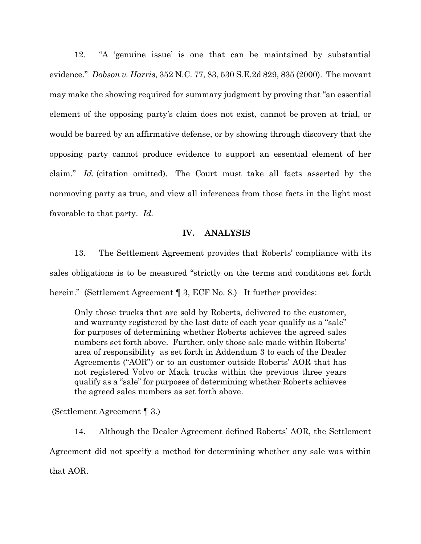12. "A 'genuine issue' is one that can be maintained by substantial evidence." *Dobson v. Harris*, 352 N.C. 77, 83, 530 S.E.2d 829, 835 (2000). The movant may make the showing required for summary judgment by proving that "an essential element of the opposing party's claim does not exist, cannot be proven at trial, or would be barred by an affirmative defense, or by showing through discovery that the opposing party cannot produce evidence to support an essential element of her claim." *Id.* (citation omitted). The Court must take all facts asserted by the nonmoving party as true, and view all inferences from those facts in the light most favorable to that party. *Id.*

## **IV. ANALYSIS**

13. The Settlement Agreement provides that Roberts' compliance with its sales obligations is to be measured "strictly on the terms and conditions set forth herein." (Settlement Agreement ¶ 3, ECF No. 8.) It further provides:

Only those trucks that are sold by Roberts, delivered to the customer, and warranty registered by the last date of each year qualify as a "sale" for purposes of determining whether Roberts achieves the agreed sales numbers set forth above. Further, only those sale made within Roberts' area of responsibility as set forth in Addendum 3 to each of the Dealer Agreements ("AOR") or to an customer outside Roberts' AOR that has not registered Volvo or Mack trucks within the previous three years qualify as a "sale" for purposes of determining whether Roberts achieves the agreed sales numbers as set forth above.

(Settlement Agreement ¶ 3.)

14. Although the Dealer Agreement defined Roberts' AOR, the Settlement Agreement did not specify a method for determining whether any sale was within that AOR.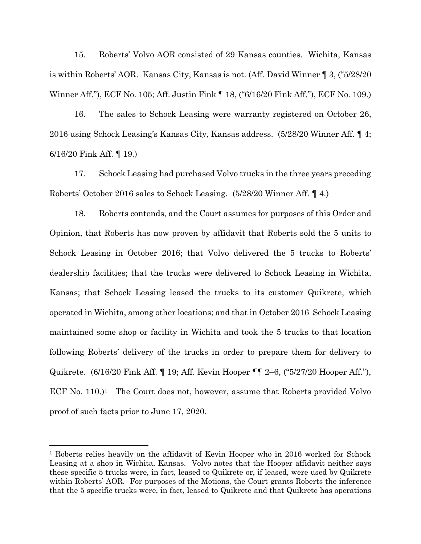15. Roberts' Volvo AOR consisted of 29 Kansas counties. Wichita, Kansas is within Roberts' AOR. Kansas City, Kansas is not. (Aff. David Winner ¶ 3, ("5/28/20 Winner Aff."), ECF No. 105; Aff. Justin Fink ¶ 18, ("6/16/20 Fink Aff."), ECF No. 109.)

16. The sales to Schock Leasing were warranty registered on October 26, 2016 using Schock Leasing's Kansas City, Kansas address. (5/28/20 Winner Aff. ¶ 4; 6/16/20 Fink Aff. ¶ 19.)

17. Schock Leasing had purchased Volvo trucks in the three years preceding Roberts' October 2016 sales to Schock Leasing. (5/28/20 Winner Aff. ¶ 4.)

18. Roberts contends, and the Court assumes for purposes of this Order and Opinion, that Roberts has now proven by affidavit that Roberts sold the 5 units to Schock Leasing in October 2016; that Volvo delivered the 5 trucks to Roberts' dealership facilities; that the trucks were delivered to Schock Leasing in Wichita, Kansas; that Schock Leasing leased the trucks to its customer Quikrete, which operated in Wichita, among other locations; and that in October 2016 Schock Leasing maintained some shop or facility in Wichita and took the 5 trucks to that location following Roberts' delivery of the trucks in order to prepare them for delivery to Quikrete. (6/16/20 Fink Aff. ¶ 19; Aff. Kevin Hooper ¶¶ 2–6, ("5/27/20 Hooper Aff."), ECF No. 110.)<sup>1</sup> The Court does not, however, assume that Roberts provided Volvo proof of such facts prior to June 17, 2020.

<sup>1</sup> Roberts relies heavily on the affidavit of Kevin Hooper who in 2016 worked for Schock Leasing at a shop in Wichita, Kansas. Volvo notes that the Hooper affidavit neither says these specific 5 trucks were, in fact, leased to Quikrete or, if leased, were used by Quikrete within Roberts' AOR. For purposes of the Motions, the Court grants Roberts the inference that the 5 specific trucks were, in fact, leased to Quikrete and that Quikrete has operations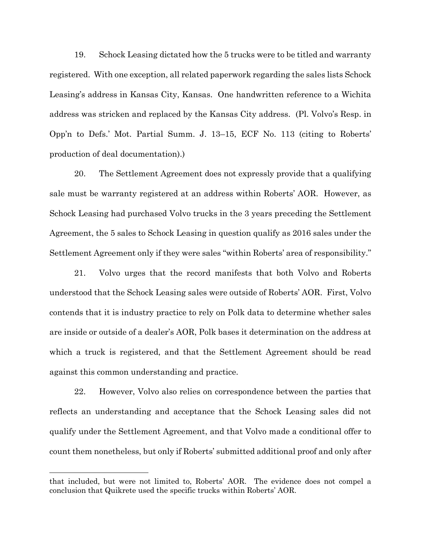19. Schock Leasing dictated how the 5 trucks were to be titled and warranty registered. With one exception, all related paperwork regarding the sales lists Schock Leasing's address in Kansas City, Kansas. One handwritten reference to a Wichita address was stricken and replaced by the Kansas City address. (Pl. Volvo's Resp. in Opp'n to Defs.' Mot. Partial Summ. J. 13–15, ECF No. 113 (citing to Roberts' production of deal documentation).)

20. The Settlement Agreement does not expressly provide that a qualifying sale must be warranty registered at an address within Roberts' AOR. However, as Schock Leasing had purchased Volvo trucks in the 3 years preceding the Settlement Agreement, the 5 sales to Schock Leasing in question qualify as 2016 sales under the Settlement Agreement only if they were sales "within Roberts' area of responsibility."

21. Volvo urges that the record manifests that both Volvo and Roberts understood that the Schock Leasing sales were outside of Roberts' AOR. First, Volvo contends that it is industry practice to rely on Polk data to determine whether sales are inside or outside of a dealer's AOR, Polk bases it determination on the address at which a truck is registered, and that the Settlement Agreement should be read against this common understanding and practice.

22. However, Volvo also relies on correspondence between the parties that reflects an understanding and acceptance that the Schock Leasing sales did not qualify under the Settlement Agreement, and that Volvo made a conditional offer to count them nonetheless, but only if Roberts' submitted additional proof and only after

that included, but were not limited to, Roberts' AOR. The evidence does not compel a conclusion that Quikrete used the specific trucks within Roberts' AOR.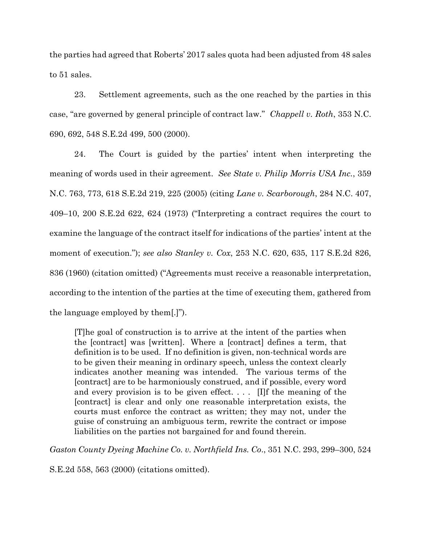the parties had agreed that Roberts' 2017 sales quota had been adjusted from 48 sales to 51 sales.

23. Settlement agreements, such as the one reached by the parties in this case, "are governed by general principle of contract law." *Chappell v. Roth*, 353 N.C. 690, 692, 548 S.E.2d 499, 500 (2000).

24. The Court is guided by the parties' intent when interpreting the meaning of words used in their agreement. *See State v. Philip Morris USA Inc.*, 359 N.C. 763, 773, 618 S.E.2d 219, 225 (2005) (citing *Lane v. Scarborough*, 284 N.C. 407, 409–10, 200 S.E.2d 622, 624 (1973) ("Interpreting a contract requires the court to examine the language of the contract itself for indications of the parties' intent at the moment of execution."); *see also Stanley v. Cox*, 253 N.C. 620, 635, 117 S.E.2d 826, 836 (1960) (citation omitted) ("Agreements must receive a reasonable interpretation, according to the intention of the parties at the time of executing them, gathered from the language employed by them[.]").

[T]he goal of construction is to arrive at the intent of the parties when the [contract] was [written]. Where a [contract] defines a term, that definition is to be used. If no definition is given, non-technical words are to be given their meaning in ordinary speech, unless the context clearly indicates another meaning was intended. The various terms of the [contract] are to be harmoniously construed, and if possible, every word and every provision is to be given effect. . . . [I]f the meaning of the [contract] is clear and only one reasonable interpretation exists, the courts must enforce the contract as written; they may not, under the guise of construing an ambiguous term, rewrite the contract or impose liabilities on the parties not bargained for and found therein.

*Gaston County Dyeing Machine Co. v. Northfield Ins. Co*., 351 N.C. 293, 299–300, 524

S.E.2d 558, 563 (2000) (citations omitted).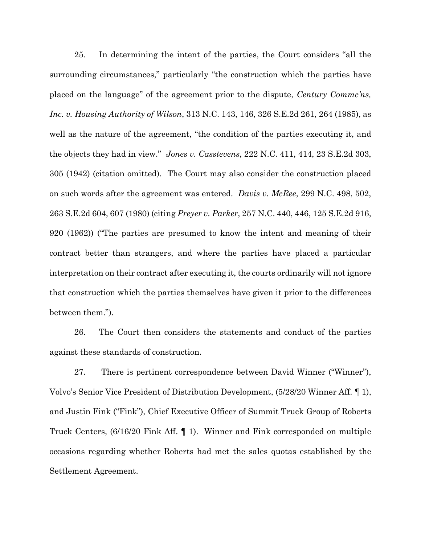25. In determining the intent of the parties, the Court considers "all the surrounding circumstances," particularly "the construction which the parties have placed on the language" of the agreement prior to the dispute, *Century Commc'ns, Inc. v. Housing Authority of Wilson*, 313 N.C. 143, 146, 326 S.E.2d 261, 264 (1985), as well as the nature of the agreement, "the condition of the parties executing it, and the objects they had in view." *Jones v. Casstevens*, 222 N.C. 411, 414, 23 S.E.2d 303, 305 (1942) (citation omitted). The Court may also consider the construction placed on such words after the agreement was entered. *Davis v. McRee*, 299 N.C. 498, 502, 263 S.E.2d 604, 607 (1980) (citing *Preyer v. Parker*, 257 N.C. 440, 446, 125 S.E.2d 916, 920 (1962)) ("The parties are presumed to know the intent and meaning of their contract better than strangers, and where the parties have placed a particular interpretation on their contract after executing it, the courts ordinarily will not ignore that construction which the parties themselves have given it prior to the differences between them.").

26. The Court then considers the statements and conduct of the parties against these standards of construction.

27. There is pertinent correspondence between David Winner ("Winner"), Volvo's Senior Vice President of Distribution Development, (5/28/20 Winner Aff. ¶ 1), and Justin Fink ("Fink"), Chief Executive Officer of Summit Truck Group of Roberts Truck Centers, (6/16/20 Fink Aff. ¶ 1). Winner and Fink corresponded on multiple occasions regarding whether Roberts had met the sales quotas established by the Settlement Agreement.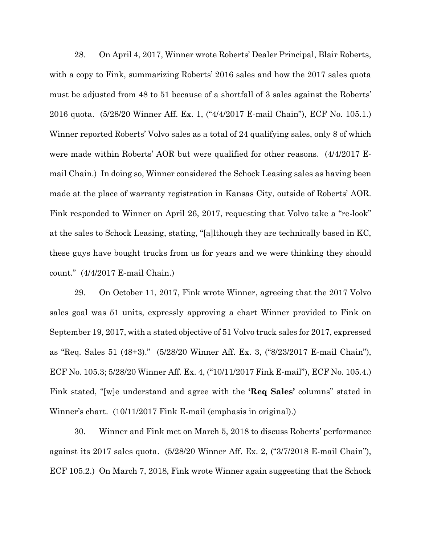28. On April 4, 2017, Winner wrote Roberts' Dealer Principal, Blair Roberts, with a copy to Fink, summarizing Roberts' 2016 sales and how the 2017 sales quota must be adjusted from 48 to 51 because of a shortfall of 3 sales against the Roberts' 2016 quota. (5/28/20 Winner Aff. Ex. 1, ("4/4/2017 E-mail Chain"), ECF No. 105.1.) Winner reported Roberts' Volvo sales as a total of 24 qualifying sales, only 8 of which were made within Roberts' AOR but were qualified for other reasons. (4/4/2017 Email Chain.) In doing so, Winner considered the Schock Leasing sales as having been made at the place of warranty registration in Kansas City, outside of Roberts' AOR. Fink responded to Winner on April 26, 2017, requesting that Volvo take a "re-look" at the sales to Schock Leasing, stating, "[a]lthough they are technically based in KC, these guys have bought trucks from us for years and we were thinking they should count." (4/4/2017 E-mail Chain.)

29. On October 11, 2017, Fink wrote Winner, agreeing that the 2017 Volvo sales goal was 51 units, expressly approving a chart Winner provided to Fink on September 19, 2017, with a stated objective of 51 Volvo truck sales for 2017, expressed as "Req. Sales 51 (48+3)." (5/28/20 Winner Aff. Ex. 3, ("8/23/2017 E-mail Chain"), ECF No. 105.3; 5/28/20 Winner Aff. Ex. 4, ("10/11/2017 Fink E-mail"), ECF No. 105.4.) Fink stated, "[w]e understand and agree with the **'Req Sales'** columns" stated in Winner's chart. (10/11/2017 Fink E-mail (emphasis in original).)

30. Winner and Fink met on March 5, 2018 to discuss Roberts' performance against its 2017 sales quota. (5/28/20 Winner Aff. Ex. 2, ("3/7/2018 E-mail Chain"), ECF 105.2.) On March 7, 2018, Fink wrote Winner again suggesting that the Schock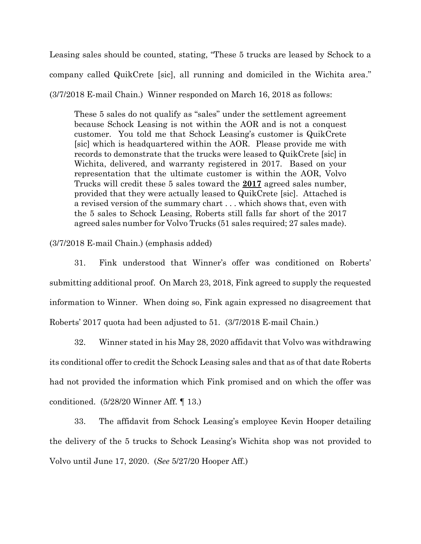Leasing sales should be counted, stating, "These 5 trucks are leased by Schock to a company called QuikCrete [sic], all running and domiciled in the Wichita area." (3/7/2018 E-mail Chain.) Winner responded on March 16, 2018 as follows:

These 5 sales do not qualify as "sales" under the settlement agreement because Schock Leasing is not within the AOR and is not a conquest customer. You told me that Schock Leasing's customer is QuikCrete [sic] which is headquartered within the AOR. Please provide me with records to demonstrate that the trucks were leased to QuikCrete [sic] in Wichita, delivered, and warranty registered in 2017. Based on your representation that the ultimate customer is within the AOR, Volvo Trucks will credit these 5 sales toward the **2017** agreed sales number, provided that they were actually leased to QuikCrete [sic]. Attached is a revised version of the summary chart . . . which shows that, even with the 5 sales to Schock Leasing, Roberts still falls far short of the 2017 agreed sales number for Volvo Trucks (51 sales required; 27 sales made).

#### (3/7/2018 E-mail Chain.) (emphasis added)

31. Fink understood that Winner's offer was conditioned on Roberts' submitting additional proof. On March 23, 2018, Fink agreed to supply the requested information to Winner. When doing so, Fink again expressed no disagreement that Roberts' 2017 quota had been adjusted to 51. (3/7/2018 E-mail Chain.)

32. Winner stated in his May 28, 2020 affidavit that Volvo was withdrawing its conditional offer to credit the Schock Leasing sales and that as of that date Roberts had not provided the information which Fink promised and on which the offer was conditioned. (5/28/20 Winner Aff. ¶ 13.)

33. The affidavit from Schock Leasing's employee Kevin Hooper detailing the delivery of the 5 trucks to Schock Leasing's Wichita shop was not provided to Volvo until June 17, 2020. (*See* 5/27/20 Hooper Aff.)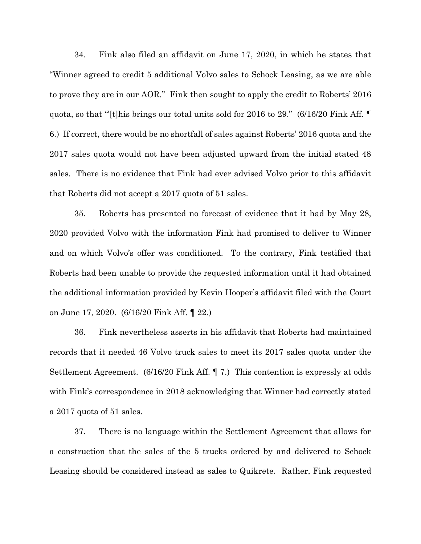34. Fink also filed an affidavit on June 17, 2020, in which he states that "Winner agreed to credit 5 additional Volvo sales to Schock Leasing, as we are able to prove they are in our AOR." Fink then sought to apply the credit to Roberts' 2016 quota, so that "'[t]his brings our total units sold for 2016 to 29." (6/16/20 Fink Aff. ¶ 6.) If correct, there would be no shortfall of sales against Roberts' 2016 quota and the 2017 sales quota would not have been adjusted upward from the initial stated 48 sales. There is no evidence that Fink had ever advised Volvo prior to this affidavit that Roberts did not accept a 2017 quota of 51 sales.

35. Roberts has presented no forecast of evidence that it had by May 28, 2020 provided Volvo with the information Fink had promised to deliver to Winner and on which Volvo's offer was conditioned. To the contrary, Fink testified that Roberts had been unable to provide the requested information until it had obtained the additional information provided by Kevin Hooper's affidavit filed with the Court on June 17, 2020. (6/16/20 Fink Aff. ¶ 22.)

36. Fink nevertheless asserts in his affidavit that Roberts had maintained records that it needed 46 Volvo truck sales to meet its 2017 sales quota under the Settlement Agreement. (6/16/20 Fink Aff. ¶ 7.) This contention is expressly at odds with Fink's correspondence in 2018 acknowledging that Winner had correctly stated a 2017 quota of 51 sales.

37. There is no language within the Settlement Agreement that allows for a construction that the sales of the 5 trucks ordered by and delivered to Schock Leasing should be considered instead as sales to Quikrete. Rather, Fink requested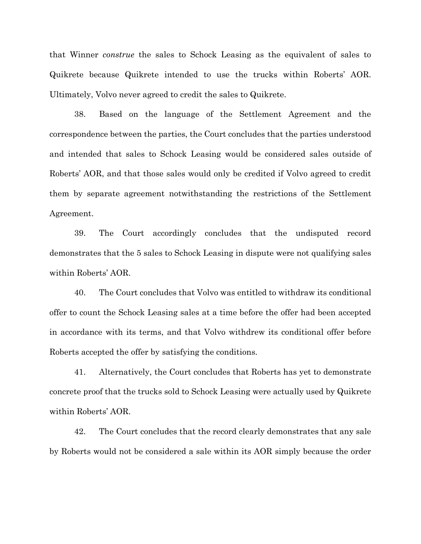that Winner *construe* the sales to Schock Leasing as the equivalent of sales to Quikrete because Quikrete intended to use the trucks within Roberts' AOR. Ultimately, Volvo never agreed to credit the sales to Quikrete.

38. Based on the language of the Settlement Agreement and the correspondence between the parties, the Court concludes that the parties understood and intended that sales to Schock Leasing would be considered sales outside of Roberts' AOR, and that those sales would only be credited if Volvo agreed to credit them by separate agreement notwithstanding the restrictions of the Settlement Agreement.

39. The Court accordingly concludes that the undisputed record demonstrates that the 5 sales to Schock Leasing in dispute were not qualifying sales within Roberts' AOR.

40. The Court concludes that Volvo was entitled to withdraw its conditional offer to count the Schock Leasing sales at a time before the offer had been accepted in accordance with its terms, and that Volvo withdrew its conditional offer before Roberts accepted the offer by satisfying the conditions.

41. Alternatively, the Court concludes that Roberts has yet to demonstrate concrete proof that the trucks sold to Schock Leasing were actually used by Quikrete within Roberts' AOR.

42. The Court concludes that the record clearly demonstrates that any sale by Roberts would not be considered a sale within its AOR simply because the order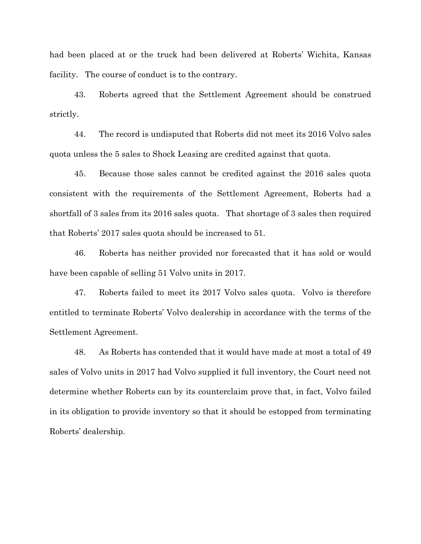had been placed at or the truck had been delivered at Roberts' Wichita, Kansas facility. The course of conduct is to the contrary.

43. Roberts agreed that the Settlement Agreement should be construed strictly.

44. The record is undisputed that Roberts did not meet its 2016 Volvo sales quota unless the 5 sales to Shock Leasing are credited against that quota.

45. Because those sales cannot be credited against the 2016 sales quota consistent with the requirements of the Settlement Agreement, Roberts had a shortfall of 3 sales from its 2016 sales quota. That shortage of 3 sales then required that Roberts' 2017 sales quota should be increased to 51.

46. Roberts has neither provided nor forecasted that it has sold or would have been capable of selling 51 Volvo units in 2017.

47. Roberts failed to meet its 2017 Volvo sales quota. Volvo is therefore entitled to terminate Roberts' Volvo dealership in accordance with the terms of the Settlement Agreement.

48. As Roberts has contended that it would have made at most a total of 49 sales of Volvo units in 2017 had Volvo supplied it full inventory, the Court need not determine whether Roberts can by its counterclaim prove that, in fact, Volvo failed in its obligation to provide inventory so that it should be estopped from terminating Roberts' dealership.